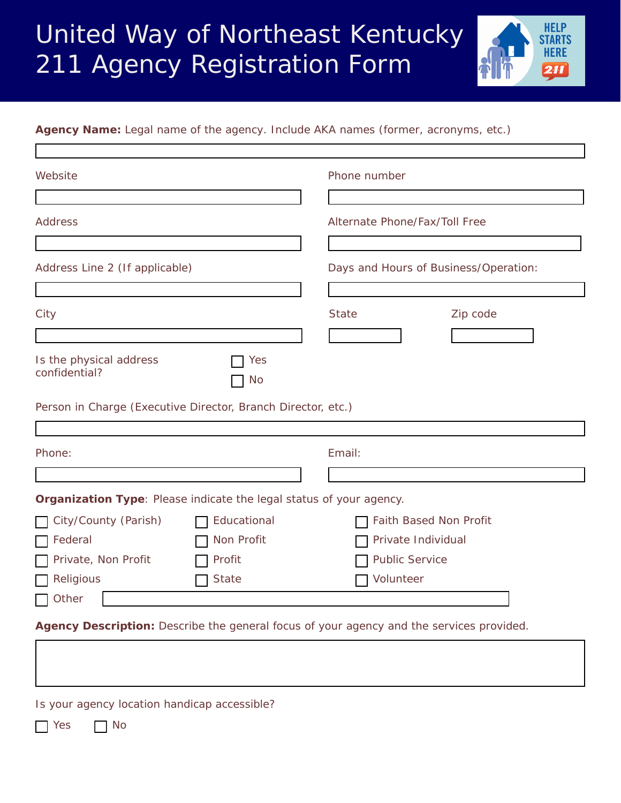## United Way of Northeast Kentucky 211 Agency Registration Form



**Agency Name:** *Legal name of the agency. Include AKA names (former, acronyms, etc.)*

| Website                                                                                  |              | Phone number             |                                       |  |  |
|------------------------------------------------------------------------------------------|--------------|--------------------------|---------------------------------------|--|--|
|                                                                                          |              |                          |                                       |  |  |
| <b>Address</b>                                                                           |              |                          | Alternate Phone/Fax/Toll Free         |  |  |
|                                                                                          |              |                          |                                       |  |  |
| Address Line 2 (If applicable)                                                           |              |                          | Days and Hours of Business/Operation: |  |  |
| City                                                                                     |              | <b>State</b>             | Zip code                              |  |  |
|                                                                                          |              | $\vert \mathbf{v} \vert$ |                                       |  |  |
| Is the physical address<br>confidential?                                                 | Yes<br>No.   |                          |                                       |  |  |
| Person in Charge (Executive Director, Branch Director, etc.)                             |              |                          |                                       |  |  |
|                                                                                          |              |                          |                                       |  |  |
| Phone:                                                                                   |              | Email:                   |                                       |  |  |
|                                                                                          |              |                          |                                       |  |  |
| Organization Type: Please indicate the legal status of your agency.                      |              |                          |                                       |  |  |
| City/County (Parish)                                                                     | Educational  |                          | Faith Based Non Profit                |  |  |
| Federal                                                                                  | Non Profit   |                          | Private Individual                    |  |  |
| Private, Non Profit                                                                      | Profit       |                          | <b>Public Service</b>                 |  |  |
| Religious                                                                                | <b>State</b> | Volunteer                |                                       |  |  |
| Other                                                                                    |              |                          |                                       |  |  |
| Agency Description: Describe the general focus of your agency and the services provided. |              |                          |                                       |  |  |

Is your agency location handicap accessible?

No Res<sub>No</sub>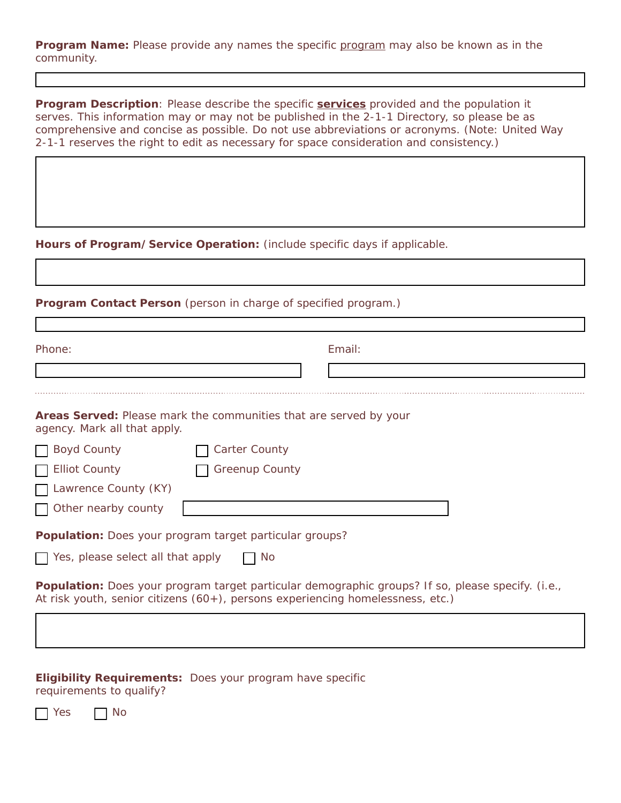**Program Name:** Please provide any names the specific program may also be known as in the community.

**Program Description**: Please describe the specific *services* provided and the population it serves. This information may or may not be published in the 2-1-1 Directory, so please be as comprehensive and concise as possible. Do not use abbreviations or acronyms. (*Note:* United Way 2-1-1 reserves the right to edit as necessary for space consideration and consistency.)

**Hours of Program/Service Operation:** (include specific days if applicable.

## **Program Contact Person** (person in charge of specified program.)

| Phone:                                                                                                                                                                                     |                       | Email: |  |
|--------------------------------------------------------------------------------------------------------------------------------------------------------------------------------------------|-----------------------|--------|--|
|                                                                                                                                                                                            |                       |        |  |
|                                                                                                                                                                                            |                       |        |  |
| <b>Areas Served:</b> Please mark the communities that are served by your<br>agency. Mark all that apply.                                                                                   |                       |        |  |
| □ Boyd County                                                                                                                                                                              | <b>Carter County</b>  |        |  |
| <b>Elliot County</b>                                                                                                                                                                       | <b>Greenup County</b> |        |  |
| Lawrence County (KY)                                                                                                                                                                       |                       |        |  |
| $\Box$ Other nearby county                                                                                                                                                                 |                       |        |  |
| <b>Population:</b> Does your program target particular groups?                                                                                                                             |                       |        |  |
| $\Box$ Yes, please select all that apply                                                                                                                                                   | No                    |        |  |
| <b>Population:</b> Does your program target particular demographic groups? If so, please specify. (i.e.,<br>At risk youth, senior citizens (60+), persons experiencing homelessness, etc.) |                       |        |  |
|                                                                                                                                                                                            |                       |        |  |

**Eligibility Requirements:** Does your program have specific requirements to qualify?

| Voc | N∩ |
|-----|----|
|-----|----|